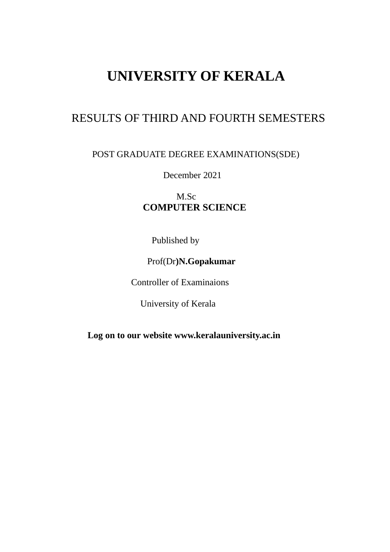# **UNIVERSITY OF KERALA**

## RESULTS OF THIRD AND FOURTH SEMESTERS

## POST GRADUATE DEGREE EXAMINATIONS(SDE)

December 2021

M.Sc  **COMPUTER SCIENCE**

Published by

## Prof(Dr**)N.Gopakumar**

Controller of Examinaions

University of Kerala

 **Log on to our website www.keralauniversity.ac.in**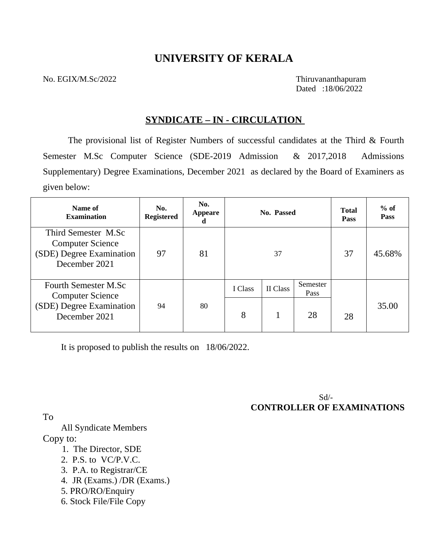## **UNIVERSITY OF KERALA**

No. EGIX/M.Sc/2022 Thiruvananthapuram

Dated :18/06/2022

### **SYNDICATE – IN - CIRCULATION**

The provisional list of Register Numbers of successful candidates at the Third & Fourth Semester M.Sc Computer Science (SDE-2019 Admission & 2017,2018 Admissions Supplementary) Degree Examinations, December 2021 as declared by the Board of Examiners as given below:

| Name of<br><b>Examination</b>                                                               | No.<br><b>Registered</b> | No.<br><b>Appeare</b><br>d |         | No. Passed |                  | <b>Total</b><br><b>Pass</b> | $%$ of<br><b>Pass</b> |
|---------------------------------------------------------------------------------------------|--------------------------|----------------------------|---------|------------|------------------|-----------------------------|-----------------------|
| Third Semester M.Sc<br><b>Computer Science</b><br>(SDE) Degree Examination<br>December 2021 | 97                       | 81                         |         | 37         |                  | 37                          | 45.68%                |
| <b>Fourth Semester M.Sc</b><br><b>Computer Science</b>                                      | 94                       | 80                         | I Class | II Class   | Semester<br>Pass |                             | 35.00                 |
| (SDE) Degree Examination<br>December 2021                                                   |                          |                            | 8       |            | 28               | 28                          |                       |

It is proposed to publish the results on 18/06/2022.

 Sd/- **CONTROLLER OF EXAMINATIONS** 

To

 All Syndicate Members Copy to:

- 1. The Director, SDE
- 2. P.S. to VC/P.V.C.
- 3. P.A. to Registrar/CE
- 4. JR (Exams.) /DR (Exams.)
- 5. PRO/RO/Enquiry
- 6. Stock File/File Copy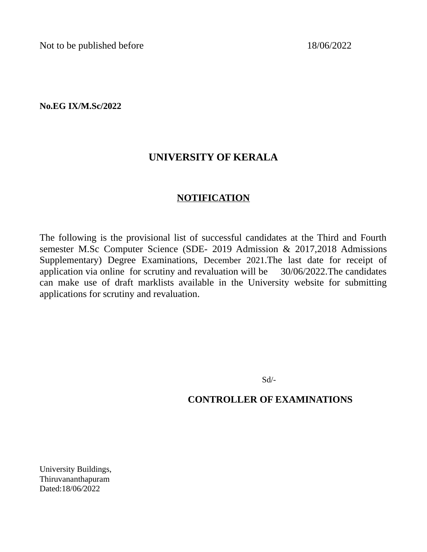Not to be published before 18/06/2022

**No.EG IX/M.Sc/2022**

## **UNIVERSITY OF KERALA**

## **NOTIFICATION**

The following is the provisional list of successful candidates at the Third and Fourth semester M.Sc Computer Science (SDE- 2019 Admission & 2017,2018 Admissions Supplementary) Degree Examinations, December 2021.The last date for receipt of application via online for scrutiny and revaluation will be 30/06/2022.The candidates can make use of draft marklists available in the University website for submitting applications for scrutiny and revaluation.

Sd/-

## **CONTROLLER OF EXAMINATIONS**

University Buildings, Thiruvananthapuram Dated:18/06*/*2022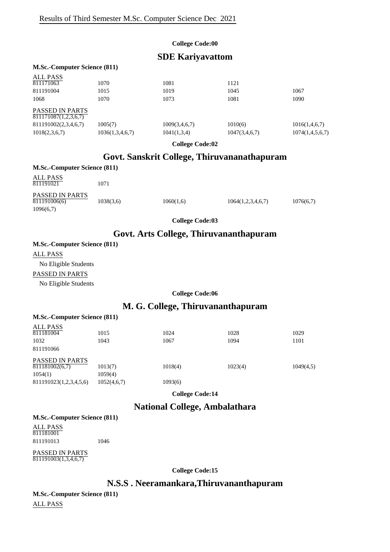#### **College Code:00**

### **SDE Kariyavattom**

#### **M.Sc.-Computer Science (811)**

| <b>ALL PASS</b>                                |                 |               |               |                 |
|------------------------------------------------|-----------------|---------------|---------------|-----------------|
| 811171063                                      | 1070            | 1081          | 1121          |                 |
| 811191004                                      | 1015            | 1019          | 1045          | 1067            |
| 1068                                           | 1070            | 1073          | 1081          | 1090            |
| <b>PASSED IN PARTS</b><br>811171087(1,2,3,6,7) |                 |               |               |                 |
| 811191002(2,3,4,6,7)                           | 1005(7)         | 1009(3,4,6,7) | 1010(6)       | 1016(1,4,6,7)   |
| 1018(2,3,6,7)                                  | 1036(1,3,4,6,7) | 1041(1,3,4)   | 1047(3,4,6,7) | 1074(1,4,5,6,7) |
|                                                |                 |               |               |                 |

**College Code:02**

## **Govt. Sanskrit College, Thiruvananathapuram**

| <b>M.Sc.-Computer Science (811)</b>          |           |           |                   |           |  |
|----------------------------------------------|-----------|-----------|-------------------|-----------|--|
| ALL PASS<br>811191021                        | 1071      |           |                   |           |  |
| PASSED IN PARTS<br>811191006(6)<br>1096(6,7) | 1038(3,6) | 1060(1,6) | 1064(1,2,3,4,6,7) | 1076(6,7) |  |

**College Code:03**

### **Govt. Arts College, Thiruvananthapuram**

#### **M.Sc.-Computer Science (811)**

ALL PASS

No Eligible Students

#### PASSED IN PARTS

No Eligible Students

#### **College Code:06**

### **M. G. College, Thiruvananthapuram**

| <b>M.Sc.-Computer Science (811)</b> |                    |         |         |           |
|-------------------------------------|--------------------|---------|---------|-----------|
| ALL PASS<br>811181004               | 1015               | 1024    | 1028    | 1029      |
| 1032                                | 1043               | 1067    | 1094    | 1101      |
| 811191066                           |                    |         |         |           |
| PASSED IN PARTS<br>811181002(6,7)   |                    | 1018(4) | 1023(4) |           |
| 1054(1)                             | 1013(7)<br>1059(4) |         |         | 1049(4,5) |
| 811191023(1,2,3,4,5,6)              | 1052(4,6,7)        | 1093(6) |         |           |
|                                     |                    |         |         |           |

**College Code:14**

## **National College, Ambalathara**

#### **M.Sc.-Computer Science (811)** ALL PASS 811181001

811191013 1046

PASSED IN PARTS 811191003(1,3,4,6,7)

**College Code:15**

#### **N.S.S . Neeramankara,Thiruvananthapuram**

**M.Sc.-Computer Science (811)**

ALL PASS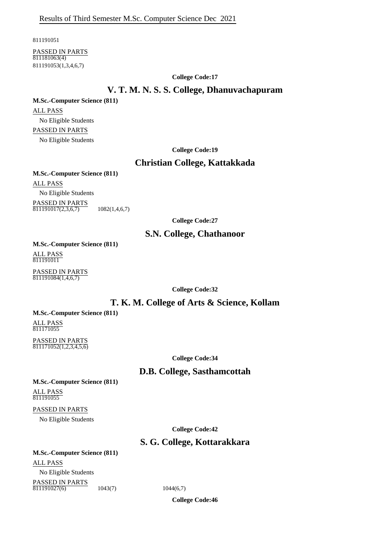811191051

PASSED IN PARTS 811181063(4) 811191053(1,3,4,6,7)

**College Code:17**

#### **V. T. M. N. S. S. College, Dhanuvachapuram**

#### **M.Sc.-Computer Science (811)**

ALL PASS No Eligible Students PASSED IN PARTS No Eligible Students

**College Code:19**

#### **Christian College, Kattakkada**

**M.Sc.-Computer Science (811)**

ALL PASS

No Eligible Students

PASSED IN PARTS  $811191017(2,3,6,7)$  1082(1,4,6,7)

**College Code:27**

### **S.N. College, Chathanoor**

**M.Sc.-Computer Science (811)** ALL PASS 811191011

PASSED IN PARTS  $811191084(1,4,6,7)$ 

**College Code:32**

### **T. K. M. College of Arts & Science, Kollam**

#### **M.Sc.-Computer Science (811)**

ALL PASS 811171055

PASSED IN PARTS 811171052(1,2,3,4,5,6)

**College Code:34**

### **D.B. College, Sasthamcottah**

**M.Sc.-Computer Science (811)** ALL PASS 811191055

PASSED IN PARTS

No Eligible Students

**College Code:42**

### **S. G. College, Kottarakkara**

**M.Sc.-Computer Science (811)** ALL PASS No Eligible Students

PASSED IN PARTS  $\overline{811191027(6)}$  1043(7) 1044(6,7)

**College Code:46**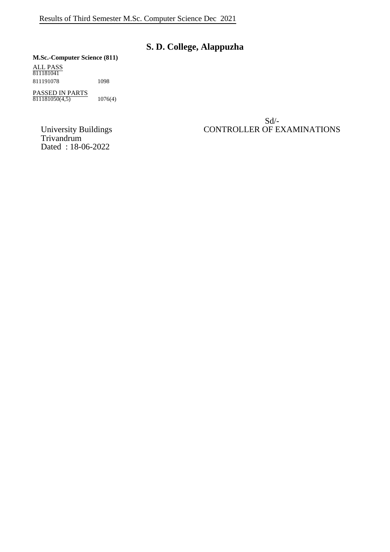## **S. D. College, Alappuzha**

#### **M.Sc.-Computer Science (811)**

ALL PASS 811181041 811191078 1098

PASSED IN PARTS  $811181050(4,5)$  1076(4)

University Buildings<br>Trivandrum Dated : 18-06-2022

Sd/- University Buildings CONTROLLER OF EXAMINATIONS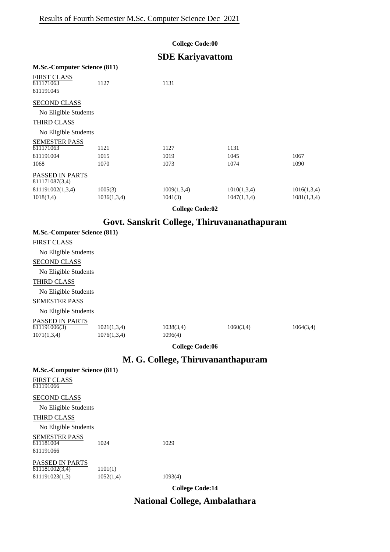#### **College Code:00**

## **SDE Kariyavattom**

| <b>M.Sc.-Computer Science (811)</b>                                                       |                        |                        |                            |                            |
|-------------------------------------------------------------------------------------------|------------------------|------------------------|----------------------------|----------------------------|
| <b>FIRST CLASS</b><br>811171063<br>811191045                                              | 1127                   | 1131                   |                            |                            |
| <b>SECOND CLASS</b><br>No Eligible Students<br><b>THIRD CLASS</b><br>No Eligible Students |                        |                        |                            |                            |
| <b>SEMESTER PASS</b><br>811171063<br>811191004<br>1068                                    | 1121<br>1015<br>1070   | 1127<br>1019<br>1073   | 1131<br>1045<br>1074       | 1067<br>1090               |
| <b>PASSED IN PARTS</b><br>811171087(3,4)<br>811191002(1,3,4)<br>1018(3,4)                 | 1005(3)<br>1036(1,3,4) | 1009(1,3,4)<br>1041(3) | 1010(1,3,4)<br>1047(1,3,4) | 1016(1,3,4)<br>1081(1,3,4) |

**College Code:02**

## **Govt. Sanskrit College, Thiruvananathapuram**

| <b>M.Sc.-Computer Science (811)</b> |                      |           |           |
|-------------------------------------|----------------------|-----------|-----------|
|                                     |                      |           |           |
|                                     |                      |           |           |
|                                     |                      |           |           |
|                                     |                      |           |           |
|                                     |                      |           |           |
|                                     |                      |           |           |
|                                     |                      |           |           |
|                                     |                      |           |           |
| 1021(1,3,4)<br>1076(1,3,4)          | 1038(3,4)<br>1096(4) | 1060(3,4) | 1064(3,4) |
|                                     |                      |           |           |

**College Code:06**

## **M. G. College, Thiruvananthapuram**

| <b>M.Sc.-Computer Science (811)</b>      |           |                                           |  |
|------------------------------------------|-----------|-------------------------------------------|--|
| <b>FIRST CLASS</b><br>811191066          |           |                                           |  |
| <b>SECOND CLASS</b>                      |           |                                           |  |
| No Eligible Students                     |           |                                           |  |
| <b>THIRD CLASS</b>                       |           |                                           |  |
| No Eligible Students                     |           |                                           |  |
| <b>SEMESTER PASS</b><br>811181004        | 1024      | 1029                                      |  |
| 811191066                                |           |                                           |  |
| <b>PASSED IN PARTS</b><br>811181002(3,4) | 1101(1)   |                                           |  |
| 811191023(1,3)                           | 1052(1,4) | 1093(4)                                   |  |
|                                          |           | $C \cdot U \cdot \cdot C \cdot J \cdot 1$ |  |

**College Code:14**

## **National College, Ambalathara**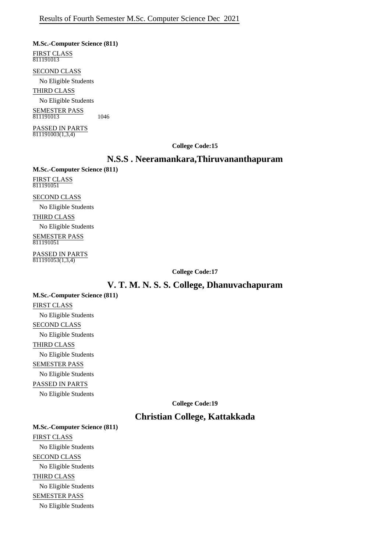**M.Sc.-Computer Science (811)** FIRST CLASS  $\frac{11191013}{811191013}$ 

SECOND CLASS

No Eligible Students

THIRD CLASS

No Eligible Students

SEMESTER PASS  $\frac{1}{811191013}$  1046

PASSED IN PARTS  $811191003(1,3,4)$ 

#### **College Code:15**

#### **N.S.S . Neeramankara,Thiruvananthapuram**

**M.Sc.-Computer Science (811)** FIRST CLASS 811191051

SECOND CLASS

No Eligible Students

THIRD CLASS

No Eligible Students SEMESTER PASS

811191051

PASSED IN PARTS  $811191053(1,3,4)$ 

**College Code:17**

#### **V. T. M. N. S. S. College, Dhanuvachapuram**

**M.Sc.-Computer Science (811)** FIRST CLASS No Eligible Students SECOND CLASS No Eligible Students THIRD CLASS No Eligible Students SEMESTER PASS No Eligible Students PASSED IN PARTS No Eligible Students

**College Code:19**

#### **Christian College, Kattakkada**

**M.Sc.-Computer Science (811)** FIRST CLASS No Eligible Students SECOND CLASS No Eligible Students THIRD CLASS No Eligible Students SEMESTER PASS No Eligible Students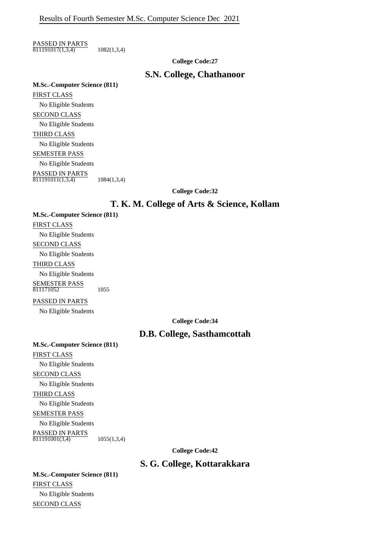PASSED IN PARTS  $\overline{811191017(1,3,4)}$  1082(1,3,4)

**College Code:27**

#### **S.N. College, Chathanoor**

**M.Sc.-Computer Science (811)** FIRST CLASS No Eligible Students SECOND CLASS No Eligible Students THIRD CLASS No Eligible Students SEMESTER PASS No Eligible Students PASSED IN PARTS  $\frac{11188888}{811191011(1,3,4)}$  1084(1,3,4)

**College Code:32**

#### **T. K. M. College of Arts & Science, Kollam**

**M.Sc.-Computer Science (811)** FIRST CLASS No Eligible Students SECOND CLASS No Eligible Students THIRD CLASS No Eligible Students SEMESTER PASS 811171052 1055

PASSED IN PARTS

No Eligible Students

**College Code:34**

### **D.B. College, Sasthamcottah**

**M.Sc.-Computer Science (811)** FIRST CLASS No Eligible Students SECOND CLASS No Eligible Students THIRD CLASS No Eligible Students SEMESTER PASS No Eligible Students PASSED IN PARTS  $\overline{811191001(3,4)}$  1055(1,3,4)

**College Code:42**

### **S. G. College, Kottarakkara**

**M.Sc.-Computer Science (811)** FIRST CLASS No Eligible Students SECOND CLASS